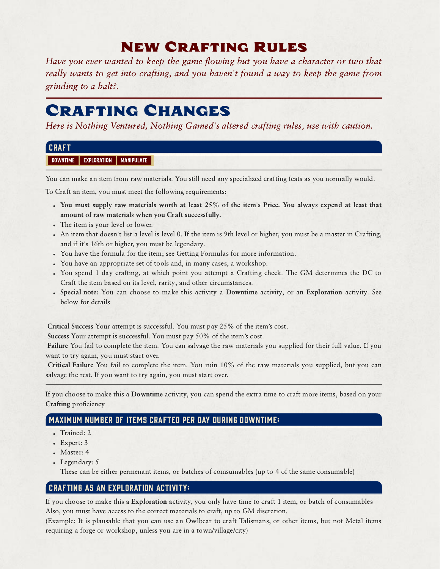## New Crafting Rules

Have you ever wanted to keep the game flowing but you have a character or two that really wants to get into crafting, and you haven't found a way to keep the game from grinding to a halt?.

## Crafting Changes

Here is Nothing Ventured, Nothing Gamed's altered crafting rules, use with caution.

| <b>CRAFT</b>                                               |  |
|------------------------------------------------------------|--|
| <b>DOWNTIME</b><br><b>EXPLORATION</b><br><b>MANIPULATE</b> |  |

You can make an item from raw materials. You still need any specialized crafting feats as you normally would.

To Craft an item, you must meet the following requirements:

- You must supply raw materials worth at least 25% of the item's Price. You always expend at least that amount of raw materials when you Craft successfully.
- The item is your level or lower.
- An item that doesn't list a level is level 0. If the item is 9th level or higher, you must be a master in Crafting, and if it's 16th or higher, you must be legendary.
- You have the formula for the item; see Getting Formulas for more information.
- You have an appropriate set of tools and, in many cases, a workshop.
- You spend 1 day crafting, at which point you attempt a Crafting check. The GM determines the DC to Craft the item based on its level, rarity, and other circumstances.
- Special note: You can choose to make this activity a Downtime activity, or an Exploration activity. See below for details

Critical Success Your attempt is successful. You must pay 25% of the item's cost.

Success Your attempt is successful. You must pay 50% of the item's cost.

Failure You fail to complete the item. You can salvage the raw materials you supplied for their full value. If you want to try again, you must start over.

Critical Failure You fail to complete the item. You ruin 10% of the raw materials you supplied, but you can salvage the rest. If you want to try again, you must start over.

If you choose to make this a Downtime activity, you can spend the extra time to craft more items, based on your Crafting proficiency

## Maximum number of items crafted per day during Downtime:

- Trained: 2
- Expert: 3
- Master: 4
- Legendary: 5
	- These can be either permenant items, or batches of comsumables (up to 4 of the same consumable)

## Crafting as an Exploration activity:

If you choose to make this a Exploration activity, you only have time to craft 1 item, or batch of consumables Also, you must have access to the correct materials to craft, up to GM discretion.

(Example: It is plausable that you can use an Owlbear to craft Talismans, or other items, but not Metal items requiring a forge or workshop, unless you are in a town/village/city)